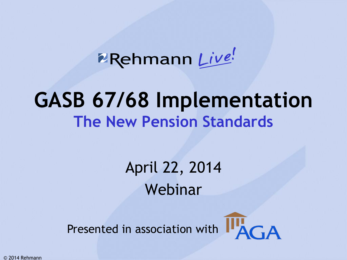**ERehmann** Live!

### **GASB 67/68 Implementation The New Pension Standards**

April 22, 2014 Webinar

Presented in association with  $\prod_{A \cap A}$ 



© 2014 Rehmann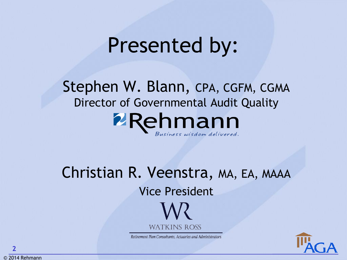## Presented by:

Stephen W. Blann, CPA, CGFM, CGMA Director of Governmental Audit Quality **PRehmann** 

Christian R. Veenstra, MA, EA, MAAA Vice President **WATKINS ROSS** 

Retirement Plan Consultants, Actuaries and Administrators



© 2014 Rehmann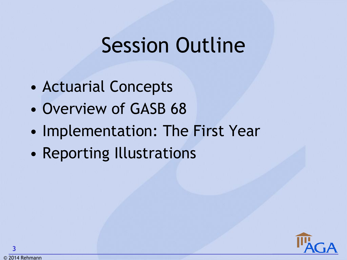## Session Outline

- Actuarial Concepts
- Overview of GASB 68
- Implementation: The First Year
- Reporting Illustrations

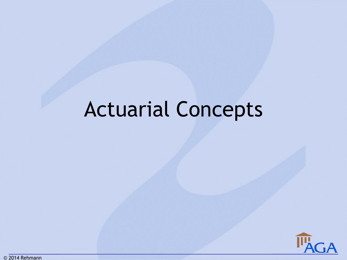## Actuarial Concepts

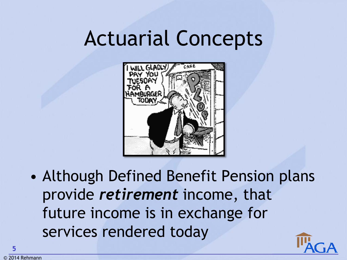## Actuarial Concepts



• Although Defined Benefit Pension plans provide *retirement* income, that future income is in exchange for services rendered today

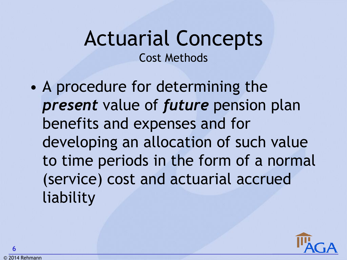### Actuarial Concepts Cost Methods

• A procedure for determining the *present* value of *future* pension plan benefits and expenses and for developing an allocation of such value to time periods in the form of a normal (service) cost and actuarial accrued liability

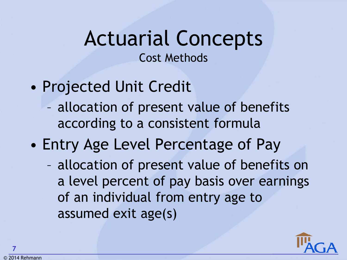### Actuarial Concepts Cost Methods

- Projected Unit Credit
	- allocation of present value of benefits according to a consistent formula
- Entry Age Level Percentage of Pay
	- allocation of present value of benefits on a level percent of pay basis over earnings of an individual from entry age to assumed exit age(s)

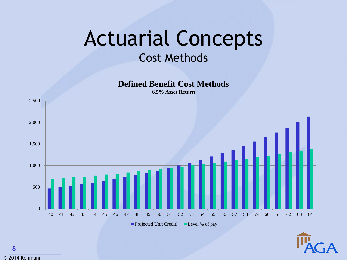### Actuarial Concepts Cost Methods

**Defined Benefit Cost Methods**

**6.5% Asset Return**



© 2014 Rehmann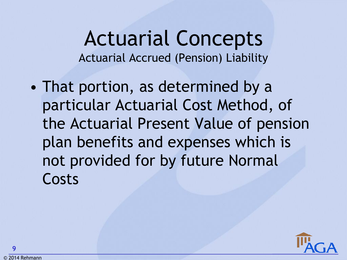#### Actuarial Concepts Actuarial Accrued (Pension) Liability

• That portion, as determined by a particular Actuarial Cost Method, of the Actuarial Present Value of pension plan benefits and expenses which is not provided for by future Normal Costs

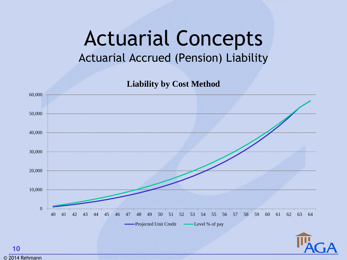### Actuarial Concepts Actuarial Accrued (Pension) Liability

**Liability by Cost Method**

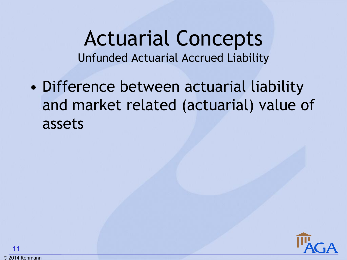Actuarial Concepts Unfunded Actuarial Accrued Liability

• Difference between actuarial liability and market related (actuarial) value of assets

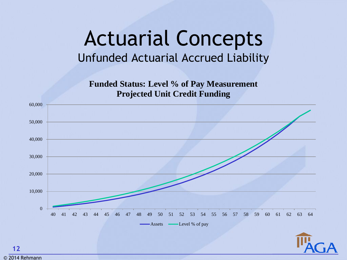#### Actuarial Concepts Unfunded Actuarial Accrued Liability

**Funded Status: Level % of Pay Measurement Projected Unit Credit Funding**

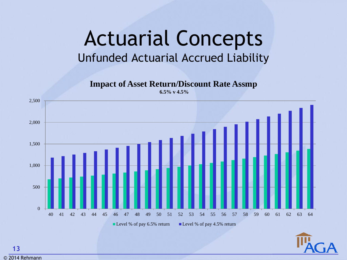#### Actuarial Concepts Unfunded Actuarial Accrued Liability

**Impact of Asset Return/Discount Rate Assmp 6.5% v 4.5%**





© 2014 Rehmann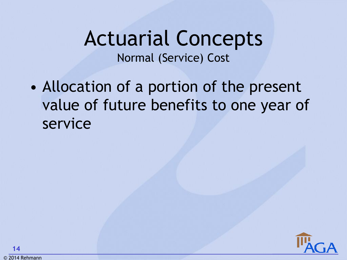### Actuarial Concepts Normal (Service) Cost

• Allocation of a portion of the present value of future benefits to one year of service

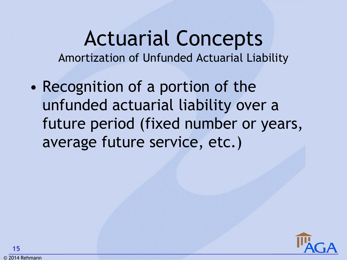### Actuarial Concepts Amortization of Unfunded Actuarial Liability

• Recognition of a portion of the unfunded actuarial liability over a future period (fixed number or years, average future service, etc.)

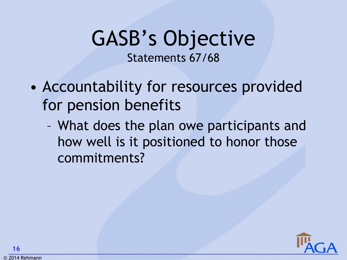### GASB's Objective Statements 67/68

- Accountability for resources provided for pension benefits
	- What does the plan owe participants and how well is it positioned to honor those commitments?

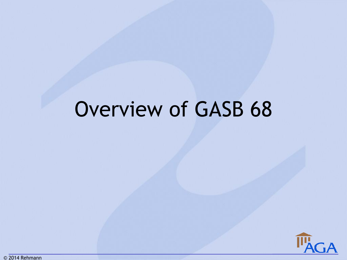## Overview of GASB 68

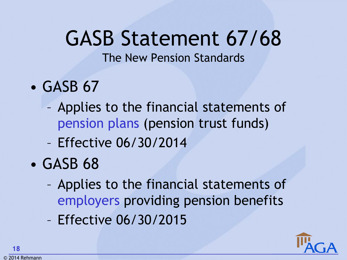## GASB Statement 67/68

The New Pension Standards

- GASB 67
	- Applies to the financial statements of pension plans (pension trust funds)
	- Effective 06/30/2014
- GASB 68
	- Applies to the financial statements of employers providing pension benefits
	- Effective 06/30/2015

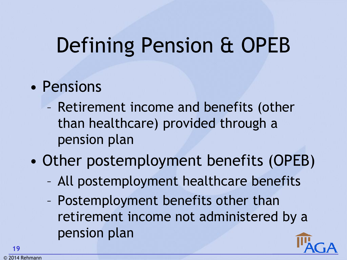#### • Pensions

- Retirement income and benefits (other than healthcare) provided through a pension plan
- Other postemployment benefits (OPEB)
	- All postemployment healthcare benefits
	- Postemployment benefits other than retirement income not administered by a pension plan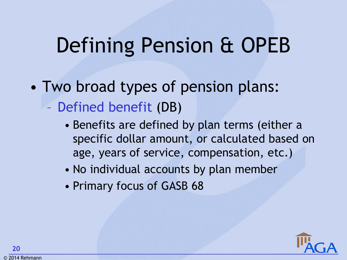- Two broad types of pension plans:
	- Defined benefit (DB)
		- Benefits are defined by plan terms (either a specific dollar amount, or calculated based on age, years of service, compensation, etc.)
		- No individual accounts by plan member
		- Primary focus of GASB 68

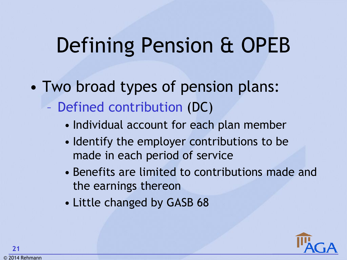- Two broad types of pension plans:
	- Defined contribution (DC)
		- Individual account for each plan member
		- Identify the employer contributions to be made in each period of service
		- Benefits are limited to contributions made and the earnings thereon
		- Little changed by GASB 68

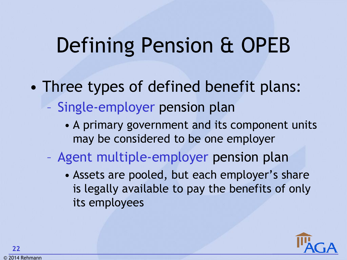- Three types of defined benefit plans:
	- Single-employer pension plan
		- A primary government and its component units may be considered to be one employer
	- Agent multiple-employer pension plan
		- Assets are pooled, but each employer's share is legally available to pay the benefits of only its employees

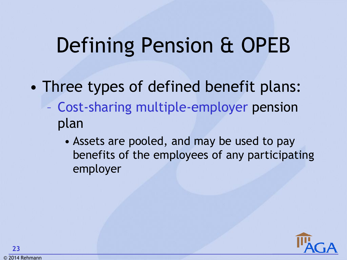- Three types of defined benefit plans:
	- Cost-sharing multiple-employer pension plan
		- Assets are pooled, and may be used to pay benefits of the employees of any participating employer

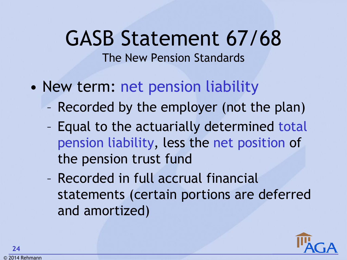## GASB Statement 67/68

#### The New Pension Standards

- New term: net pension liability
	- Recorded by the employer (not the plan)
	- Equal to the actuarially determined total pension liability, less the net position of the pension trust fund
	- Recorded in full accrual financial statements (certain portions are deferred and amortized)

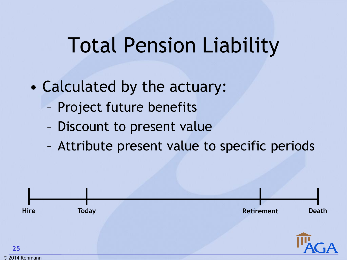- Project future benefits
- Discount to present value
- Attribute present value to specific periods

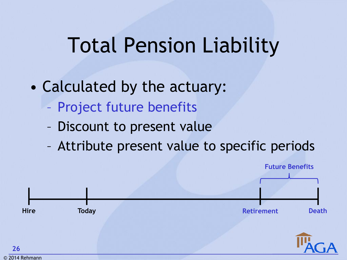- Project future benefits
- Discount to present value
- Attribute present value to specific periods

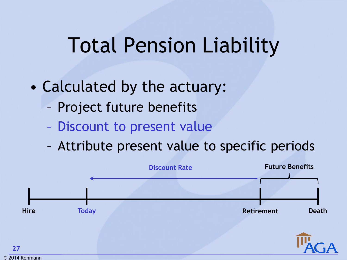- Project future benefits
- Discount to present value
- Attribute present value to specific periods

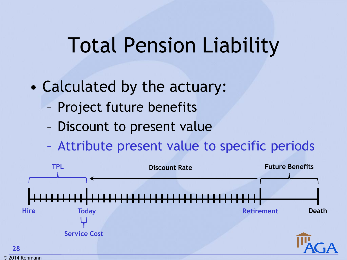- Project future benefits
- Discount to present value
- Attribute present value to specific periods

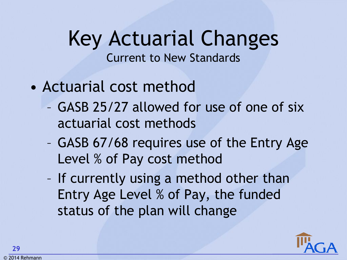- Actuarial cost method
	- GASB 25/27 allowed for use of one of six actuarial cost methods
	- GASB 67/68 requires use of the Entry Age Level % of Pay cost method
	- If currently using a method other than Entry Age Level % of Pay, the funded status of the plan will change

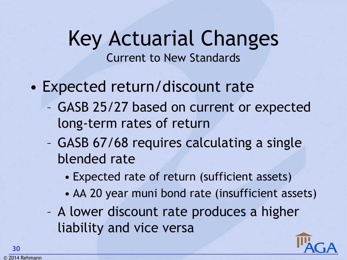- Expected return/discount rate
	- GASB 25/27 based on current or expected long-term rates of return
	- GASB 67/68 requires calculating a single blended rate
		- Expected rate of return (sufficient assets)
		- AA 20 year muni bond rate (insufficient assets)
	- A lower discount rate produces a higher liability and vice versa

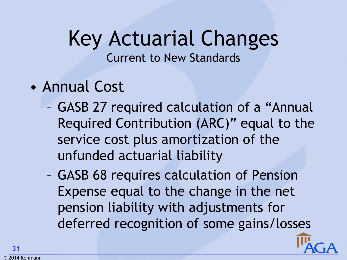Current to New Standards

- Annual Cost
	- GASB 27 required calculation of a "Annual Required Contribution (ARC)" equal to the service cost plus amortization of the unfunded actuarial liability
	- GASB 68 requires calculation of Pension Expense equal to the change in the net pension liability with adjustments for deferred recognition of some gains/losses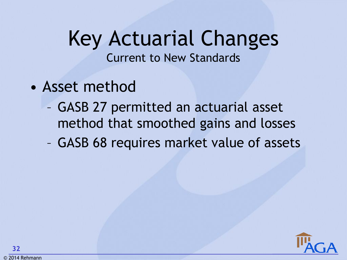- Asset method
	- GASB 27 permitted an actuarial asset method that smoothed gains and losses
	- GASB 68 requires market value of assets

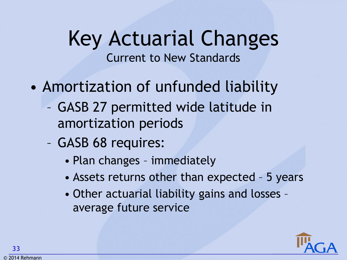- Amortization of unfunded liability
	- GASB 27 permitted wide latitude in amortization periods
	- GASB 68 requires:
		- Plan changes immediately
		- Assets returns other than expected 5 years
		- Other actuarial liability gains and losses average future service

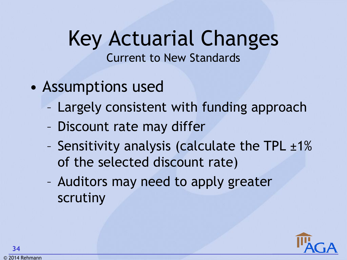- Assumptions used
	- Largely consistent with funding approach
	- Discount rate may differ
	- Sensitivity analysis (calculate the TPL  $\pm 1\%$ of the selected discount rate)
	- Auditors may need to apply greater scrutiny

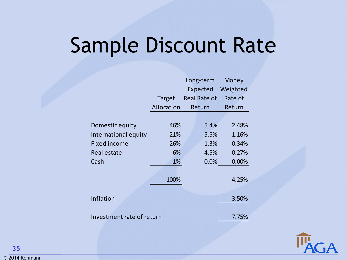## Sample Discount Rate

|                           |            | Long-term           | Money    |  |
|---------------------------|------------|---------------------|----------|--|
|                           |            | Expected            | Weighted |  |
|                           | Target     | <b>Real Rate of</b> | Rate of  |  |
|                           | Allocation | Return              | Return   |  |
|                           |            |                     |          |  |
| Domestic equity           | 46%        | 5.4%                | 2.48%    |  |
| International equity      | 21%        | 5.5%                | 1.16%    |  |
| <b>Fixed income</b>       | 26%        | 1.3%                | 0.34%    |  |
| <b>Real estate</b>        | 6%         | 4.5%                | 0.27%    |  |
| Cash                      | 1%         | 0.0%                | 0.00%    |  |
|                           |            |                     |          |  |
|                           | 100%       |                     | 4.25%    |  |
|                           |            |                     |          |  |
| Inflation                 |            |                     | 3.50%    |  |
|                           |            |                     |          |  |
| Investment rate of return |            |                     | 7.75%    |  |



**35**

© 2014 Rehmann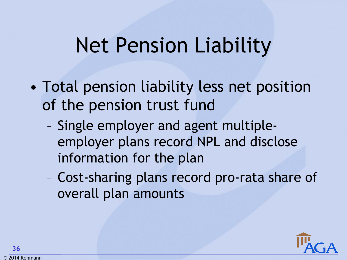## Net Pension Liability

- Total pension liability less net position of the pension trust fund
	- Single employer and agent multipleemployer plans record NPL and disclose information for the plan
	- Cost-sharing plans record pro-rata share of overall plan amounts

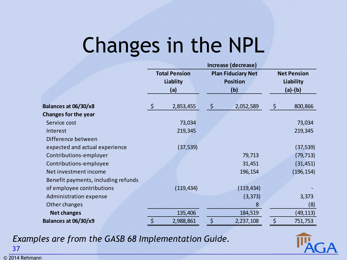## Changes in the NPL

|                                     | Increase (decrease)                            |            |                                                     |            |                                                     |            |
|-------------------------------------|------------------------------------------------|------------|-----------------------------------------------------|------------|-----------------------------------------------------|------------|
|                                     | <b>Total Pension</b><br><b>Liablity</b><br>(a) |            | <b>Plan Fiduciary Net</b><br><b>Position</b><br>(b) |            | <b>Net Pension</b><br><b>Liability</b><br>$(a)-(b)$ |            |
|                                     |                                                |            |                                                     |            |                                                     |            |
|                                     |                                                |            |                                                     |            |                                                     |            |
|                                     |                                                |            |                                                     |            |                                                     |            |
| Balances at 06/30/x8                | $\varsigma$                                    | 2,853,455  | $\ddot{\varsigma}$                                  | 2,052,589  | $\zeta$                                             | 800,866    |
| <b>Changes for the year</b>         |                                                |            |                                                     |            |                                                     |            |
| Service cost                        |                                                | 73,034     |                                                     |            |                                                     | 73,034     |
| Interest                            |                                                | 219,345    |                                                     |            |                                                     | 219,345    |
| Difference between                  |                                                |            |                                                     |            |                                                     |            |
| expected and actual experience      |                                                | (37, 539)  |                                                     |            |                                                     | (37, 539)  |
| Contributions-employer              |                                                |            |                                                     | 79,713     |                                                     | (79, 713)  |
| Contributions-employee              |                                                |            |                                                     | 31,451     |                                                     | (31, 451)  |
| Net investment income               |                                                |            |                                                     | 196,154    |                                                     | (196, 154) |
| Benefit payments, including refunds |                                                |            |                                                     |            |                                                     |            |
| of employee contributions           |                                                | (119, 434) |                                                     | (119, 434) |                                                     |            |
| Administration expense              |                                                |            |                                                     | (3, 373)   |                                                     | 3,373      |
| Other changes                       |                                                |            |                                                     | 8          |                                                     | (8)        |
| <b>Net changes</b>                  |                                                | 135,406    |                                                     | 184,519    |                                                     | (49, 113)  |
| Balances at 06/30/x9                | \$                                             | 2,988,861  | \$                                                  | 2,237,108  | \$                                                  | 751,753    |

*Examples are from the GASB 68 Implementation Guide.*



© 2014 Rehmann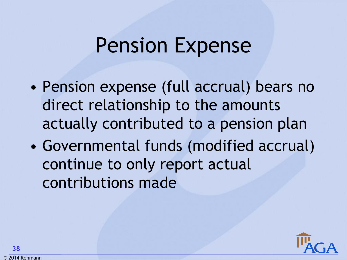### Pension Expense

- Pension expense (full accrual) bears no direct relationship to the amounts actually contributed to a pension plan
- Governmental funds (modified accrual) continue to only report actual contributions made

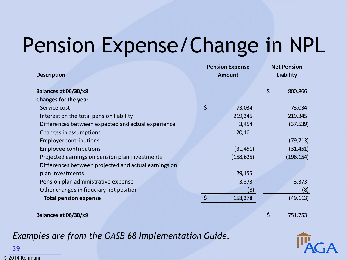## Pension Expense/Change in NPL

| <b>Description</b>                                   | <b>Pension Expense</b><br><b>Amount</b> | <b>Net Pension</b><br>Liability |  |
|------------------------------------------------------|-----------------------------------------|---------------------------------|--|
| Balances at 06/30/x8                                 |                                         | $\zeta$<br>800,866              |  |
| <b>Changes for the year</b>                          |                                         |                                 |  |
| Service cost                                         | \$<br>73,034                            | 73,034                          |  |
| Interest on the total pension liability              | 219,345                                 | 219,345                         |  |
| Differences between expected and actual experience   | 3,454                                   | (37, 539)                       |  |
| Changes in assumptions                               | 20,101                                  |                                 |  |
| <b>Employer contributions</b>                        |                                         | (79, 713)                       |  |
| <b>Employee contributions</b>                        | (31, 451)                               | (31, 451)                       |  |
| Projected earnings on pension plan investments       | (158, 625)                              | (196, 154)                      |  |
| Differences between projected and actual earnings on |                                         |                                 |  |
| plan investments                                     | 29,155                                  |                                 |  |
| Pension plan administrative expense                  | 3,373                                   | 3,373                           |  |
| Other changes in fiduciary net position              | (8)                                     | (8)                             |  |
| <b>Total pension expense</b>                         | $\zeta$<br>158,378                      | (49, 113)                       |  |
|                                                      |                                         |                                 |  |
| Balances at 06/30/x9                                 |                                         | \$<br>751,753                   |  |

*Examples are from the GASB 68 Implementation Guide.*

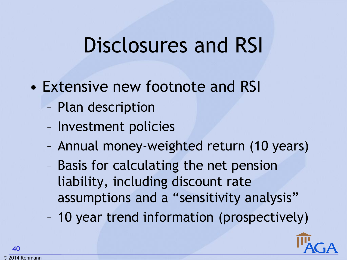## Disclosures and RSI

- Extensive new footnote and RSI
	- Plan description
	- Investment policies
	- Annual money-weighted return (10 years)
	- Basis for calculating the net pension liability, including discount rate assumptions and a "sensitivity analysis"

– 10 year trend information (prospectively)

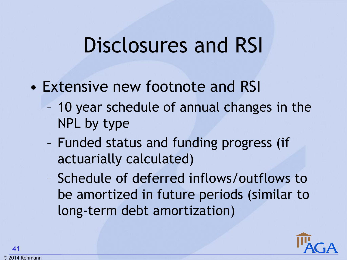### Disclosures and RSI

- Extensive new footnote and RSI
	- 10 year schedule of annual changes in the NPL by type
	- Funded status and funding progress (if actuarially calculated)
	- Schedule of deferred inflows/outflows to be amortized in future periods (similar to long-term debt amortization)

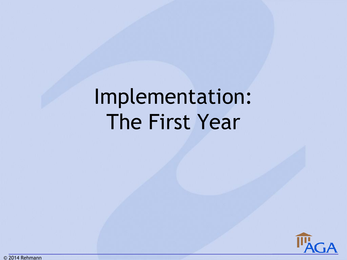## Implementation: The First Year

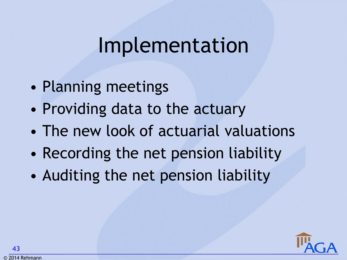### Implementation

- Planning meetings
- Providing data to the actuary
- The new look of actuarial valuations
- Recording the net pension liability
- Auditing the net pension liability

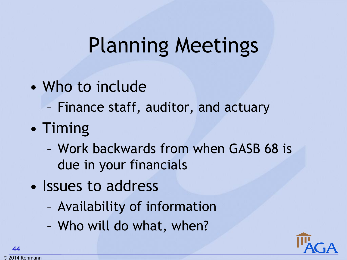## Planning Meetings

- Who to include
	- Finance staff, auditor, and actuary
- Timing
	- Work backwards from when GASB 68 is due in your financials
- Issues to address
	- Availability of information
	- Who will do what, when?

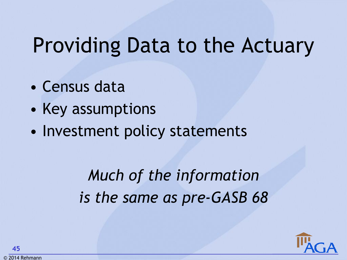## Providing Data to the Actuary

- Census data
- Key assumptions
- Investment policy statements

*Much of the information is the same as pre-GASB 68*

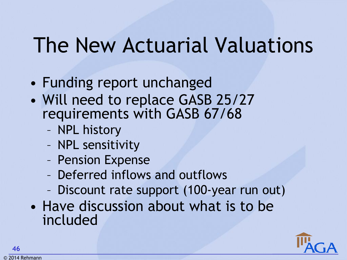## The New Actuarial Valuations

- Funding report unchanged
- Will need to replace GASB 25/27 requirements with GASB 67/68
	- NPL history
	- NPL sensitivity
	- Pension Expense
	- Deferred inflows and outflows
	- Discount rate support (100-year run out)
- Have discussion about what is to be included

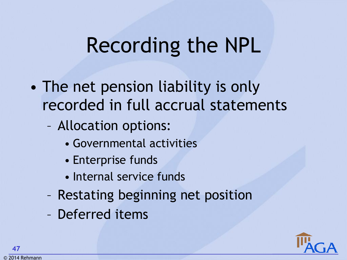## Recording the NPL

- The net pension liability is only recorded in full accrual statements
	- Allocation options:
		- Governmental activities
		- Enterprise funds
		- Internal service funds
	- Restating beginning net position
	- Deferred items

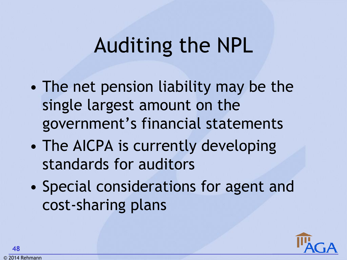## Auditing the NPL

- The net pension liability may be the single largest amount on the government's financial statements
- The AICPA is currently developing standards for auditors
- Special considerations for agent and cost-sharing plans

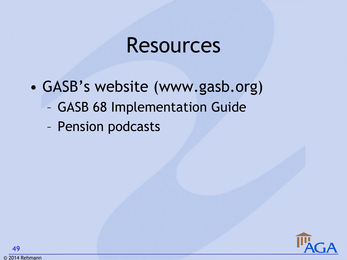### Resources

- GASB's website (www.gasb.org)
	- GASB 68 Implementation Guide
	- Pension podcasts

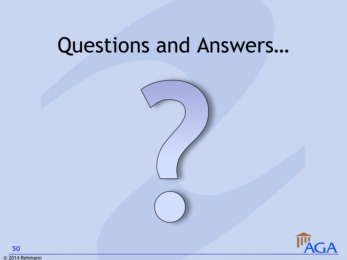## Questions and Answers…